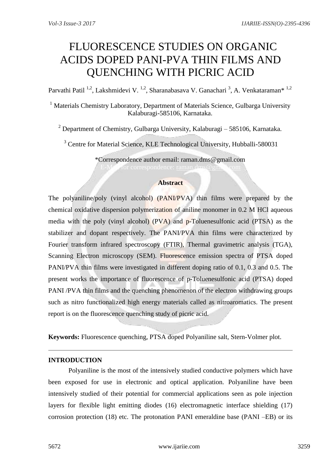# FLUORESCENCE STUDIES ON ORGANIC ACIDS DOPED PANI-PVA THIN FILMS AND QUENCHING WITH PICRIC ACID

Parvathi Patil <sup>1,2</sup>, Lakshmidevi V. <sup>1,2</sup>, Sharanabasava V. Ganachari <sup>3</sup>, A. Venkataraman<sup>\* 1,2</sup>

<sup>1</sup> Materials Chemistry Laboratory, Department of Materials Science, Gulbarga University Kalaburagi-585106, Karnataka.

 $2$  Department of Chemistry, Gulbarga University, Kalaburagi – 585106, Karnataka.

<sup>3</sup> Centre for Material Science, KLE Technological University, Hubballi-580031

\*Correspondence author email: raman.dms@gmail.com For correspondence: [raman.dms@gmail.com](mailto:raman.dms@gmail.com)

# **Abstract**

The polyaniline/poly (vinyl alcohol) (PANI/PVA) thin films were prepared by the chemical oxidative dispersion polymerization of aniline monomer in 0.2 M HCl aqueous media with the poly (vinyl alcohol) (PVA) and p-Toluenesulfonic acid (PTSA) as the stabilizer and dopant respectively. The PANI/PVA thin films were characterized by Fourier transform infrared spectroscopy (FTIR), Thermal gravimetric analysis (TGA), Scanning Electron microscopy (SEM). Fluorescence emission spectra of PTSA doped PANI/PVA thin films were investigated in different doping ratio of 0.1, 0.3 and 0.5. The present works the importance of fluorescence of p-Toluenesulfonic acid (PTSA) doped PANI /PVA thin films and the quenching phenomenon of the electron withdrawing groups such as nitro functionalized high energy materials called as nitroaromatics. The present report is on the fluorescence quenching study of picric acid.

**Keywords:** Fluorescence quenching, PTSA doped Polyaniline salt, Stern-Volmer plot.

# **INTRODUCTION**

Polyaniline is the most of the intensively studied conductive polymers which have been exposed for use in electronic and optical application. Polyaniline have been intensively studied of their potential for commercial applications seen as pole injection layers for flexible light emitting diodes (16) electromagnetic interface shielding (17) corrosion protection (18) etc. The protonation PANI emeraldine base (PANI –EB) or its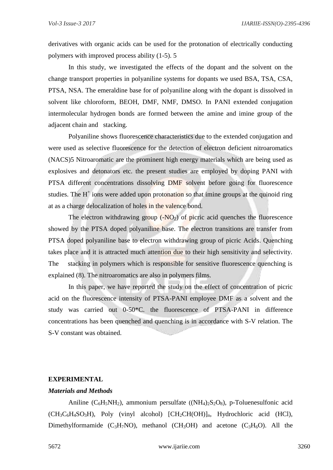derivatives with organic acids can be used for the protonation of electrically conducting polymers with improved process ability (1-5). 5

In this study, we investigated the effects of the dopant and the solvent on the change transport properties in polyaniline systems for dopants we used BSA, TSA, CSA, PTSA, NSA. The emeraldine base for of polyaniline along with the dopant is dissolved in solvent like chloroform, BEOH, DMF, NMF, DMSO. In PANI extended conjugation intermolecular hydrogen bonds are formed between the amine and imine group of the adjacent chain and stacking.

Polyaniline shows fluorescence characteristics due to the extended conjugation and were used as selective fluorescence for the detection of electron deficient nitroaromatics (NACS)5 Nitroaromatic are the prominent high energy materials which are being used as explosives and detonators etc. the present studies are employed by doping PANI with PTSA different concentrations dissolving DMF solvent before going for fluorescence studies. The  $H^+$  ions were added upon protonation so that imine groups at the quinoid ring at as a charge delocalization of holes in the valence bond.

The electron withdrawing group  $(-NO<sub>2</sub>)$  of picric acid quenches the fluorescence showed by the PTSA doped polyaniline base. The electron transitions are transfer from PTSA doped polyaniline base to electron withdrawing group of picric Acids. Quenching takes place and it is attracted much attention due to their high sensitivity and selectivity. The stacking in polymers which is responsible for sensitive fluorescence quenching is explained (8). The nitroaromatics are also in polymers films.

In this paper, we have reported the study on the effect of concentration of picric acid on the fluorescence intensity of PTSA-PANI employee DMF as a solvent and the study was carried out 0-50\*C. the fluorescence of PTSA-PANI in difference concentrations has been quenched and quenching is in accordance with S-V relation. The S-V constant was obtained.

#### **EXPERIMENTAL**

#### *Materials and Methods*

Aniline ( $C_6H_5NH_2$ ), ammonium persulfate (( $NH_4$ ) $_2S_2O_8$ ), p-Toluenesulfonic acid  $(CH_3C_6H_4SO_3H)$ , Poly (vinyl alcohol)  $[CH_2CH(OH)]_n$ , Hydrochloric acid (HCl), Dimethylformamide  $(C_3H_7NO)$ , methanol  $(CH_3OH)$  and acetone  $(C_3H_6O)$ . All the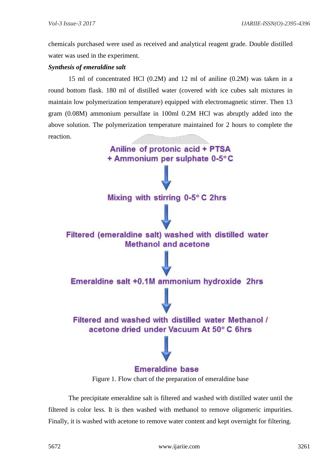chemicals purchased were used as received and analytical reagent grade. Double distilled water was used in the experiment.

## *Synthesis of emeraldine salt*

15 ml of concentrated HCl (0.2M) and 12 ml of aniline (0.2M) was taken in a round bottom flask. 180 ml of distilled water (covered with ice cubes salt mixtures in maintain low polymerization temperature) equipped with electromagnetic stirrer. Then 13 gram (0.08M) ammonium persulfate in 100ml 0.2M HCl was abruptly added into the above solution. The polymerization temperature maintained for 2 hours to complete the reaction.



Figure 1. Flow chart of the preparation of emeraldine base

The precipitate emeraldine salt is filtered and washed with distilled water until the filtered is color less. It is then washed with methanol to remove oligomeric impurities. Finally, it is washed with acetone to remove water content and kept overnight for filtering.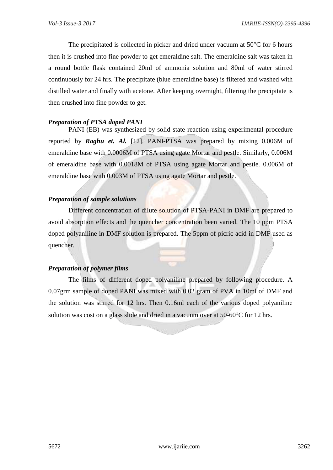The precipitated is collected in picker and dried under vacuum at  $50^{\circ}$ C for 6 hours then it is crushed into fine powder to get emeraldine salt. The emeraldine salt was taken in a round bottle flask contained 20ml of ammonia solution and 80ml of water stirred continuously for 24 hrs. The precipitate (blue emeraldine base) is filtered and washed with distilled water and finally with acetone. After keeping overnight, filtering the precipitate is then crushed into fine powder to get.

# *Preparation of PTSA doped PANI*

PANI (EB) was synthesized by solid state reaction using experimental procedure reported by *Raghu et. Al.* [12]. PANI-PTSA was prepared by mixing 0.006M of emeraldine base with 0.0006M of PTSA using agate Mortar and pestle. Similarly, 0.006M of emeraldine base with 0.0018M of PTSA using agate Mortar and pestle. 0.006M of emeraldine base with 0.003M of PTSA using agate Mortar and pestle.

# *Preparation of sample solutions*

Different concentration of dilute solution of PTSA-PANI in DMF are prepared to avoid absorption effects and the quencher concentration been varied. The 10 ppm PTSA doped polyaniline in DMF solution is prepared. The 5ppm of picric acid in DMF used as quencher.

# *Preparation of polymer films*

The films of different doped polyaniline prepared by following procedure. A 0.07grm sample of doped PANI was mixed with 0.02 gram of PVA in 10ml of DMF and the solution was stirred for 12 hrs. Then 0.16ml each of the various doped polyaniline solution was cost on a glass slide and dried in a vacuum over at  $50\n-60^{\circ}$ C for 12 hrs.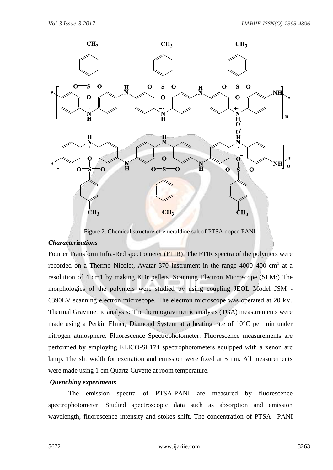

Figure 2. Chemical structure of emeraldine salt of PTSA doped PANI.

#### *Characterizations*

Fourier Transform Infra-Red spectrometer (FTIR): The FTIR spectra of the polymers were recorded on a Thermo Nicolet, Avatar 370 instrument in the range  $4000-400$  cm<sup>1</sup> at a resolution of 4 cm1 by making KBr pellets. Scanning Electron Microscope (SEM:) The morphologies of the polymers were studied by using coupling JEOL Model JSM - 6390LV scanning electron microscope. The electron microscope was operated at 20 kV. Thermal Gravimetric analysis: The thermogravimetric analysis (TGA) measurements were made using a Perkin Elmer, Diamond System at a heating rate of  $10^{\circ}$ C per min under nitrogen atmosphere. Fluorescence Spectrophotometer: Fluorescence measurements are performed by employing ELICO-SL174 spectrophotometers equipped with a xenon arc lamp. The slit width for excitation and emission were fixed at 5 nm. All measurements were made using 1 cm Quartz Cuvette at room temperature.

#### *Quenching experiments*

The emission spectra of PTSA-PANI are measured by fluorescence spectrophotometer. Studied spectroscopic data such as absorption and emission wavelength, fluorescence intensity and stokes shift. The concentration of PTSA –PANI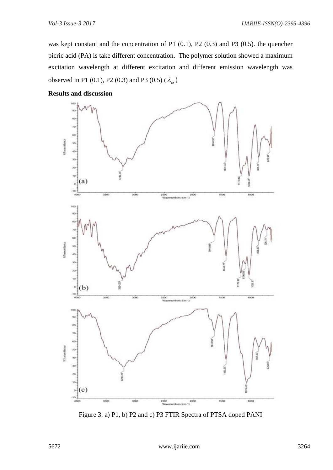was kept constant and the concentration of P1 (0.1), P2 (0.3) and P3 (0.5). the quencher picric acid (PA) is take different concentration. The polymer solution showed a maximum excitation wavelength at different excitation and different emission wavelength was observed in P1 (0.1), P2 (0.3) and P3 (0.5)  $(\lambda_{ex})$ 



#### **Results and discussion**

Figure 3. a) P1, b) P2 and c) P3 FTIR Spectra of PTSA doped PANI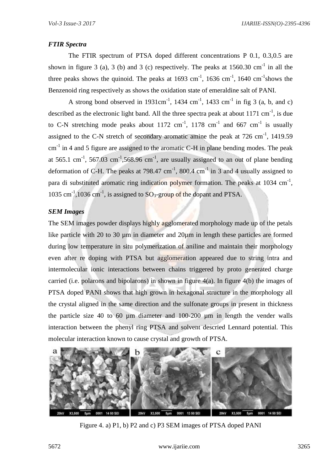# *FTIR Spectra*

The FTIR spectrum of PTSA doped different concentrations P 0.1, 0.3,0.5 are shown in figure 3 (a), 3 (b) and 3 (c) respectively. The peaks at  $1560.30 \text{ cm}^{-1}$  in all the three peaks shows the quinoid. The peaks at  $1693 \text{ cm}^{-1}$ ,  $1636 \text{ cm}^{-1}$ ,  $1640 \text{ cm}^{-1}$ shows the Benzenoid ring respectively as shows the oxidation state of emeraldine salt of PANI.

A strong bond observed in 1931cm<sup>-1</sup>, 1434 cm<sup>-1</sup>, 1433 cm<sup>-1</sup> in fig 3 (a, b, and c) described as the electronic light band. All the three spectra peak at about  $1171 \text{ cm}^{-1}$ , is due to C-N stretching mode peaks about 1172  $\text{cm}^{-1}$ , 1178  $\text{cm}^{-1}$  and 667  $\text{cm}^{-1}$  is usually assigned to the C-N stretch of secondary aromatic amine the peak at  $726 \text{ cm}^{-1}$ ,  $1419.59$  $cm<sup>-1</sup>$  in 4 and 5 figure are assigned to the aromatic C-H in plane bending modes. The peak at 565.1 cm<sup>-1</sup>, 567.03 cm<sup>-1</sup>,568.96 cm<sup>-1</sup>, are usually assigned to an out of plane bending deformation of C-H. The peaks at 798.47 cm<sup>-1</sup>, 800.4 cm<sup>-1</sup> in 3 and 4 usually assigned to para di substituted aromatic ring indication polymer formation. The peaks at  $1034 \text{ cm}^{-1}$ , 1035 cm<sup>-1</sup>,1036 cm<sup>-1</sup>, is assigned to  $SO_3$ -group of the dopant and PTSA.

## *SEM Images*

The SEM images powder displays highly agglomerated morphology made up of the petals like particle with 20 to 30  $\mu$ m in diameter and 20 $\mu$ m in length these particles are formed during low temperature in situ polymerization of aniline and maintain their morphology even after re doping with PTSA but agglomeration appeared due to string intra and intermolecular ionic interactions between chains triggered by proto generated charge carried (i.e. polarons and bipolarons) in shown in figure 4(a). In figure 4(b) the images of PTSA doped PANI shows that high grown in hexagonal structure in the morphology all the crystal aligned in the same direction and the sulfonate groups in present in thickness the particle size 40 to 60 µm diameter and 100-200 µm in length the vender walls interaction between the phenyl ring PTSA and solvent descried Lennard potential. This molecular interaction known to cause crystal and growth of PTSA.



Figure 4. a) P1, b) P2 and c) P3 SEM images of PTSA doped PANI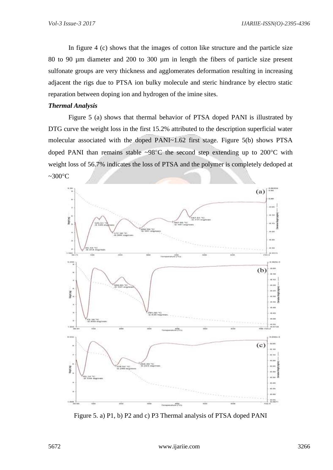In figure 4 (c) shows that the images of cotton like structure and the particle size 80 to 90 µm diameter and 200 to 300 µm in length the fibers of particle size present sulfonate groups are very thickness and agglomerates deformation resulting in increasing adjacent the rigs due to PTSA ion bulky molecule and steric hindrance by electro static reparation between doping ion and hydrogen of the imine sites.

# *Thermal Analysis*

Figure 5 (a) shows that thermal behavior of PTSA doped PANI is illustrated by DTG curve the weight loss in the first 15.2% attributed to the description superficial water molecular associated with the doped PANI~1.62 first stage. Figure 5(b) shows PTSA doped PANI than remains stable ~98 $^{\circ}$ C the second step extending up to 200 $^{\circ}$ C with weight loss of 56.7% indicates the loss of PTSA and the polymer is completely dedoped at  $\sim 300^{\circ}$ C



Figure 5. a) P1, b) P2 and c) P3 Thermal analysis of PTSA doped PANI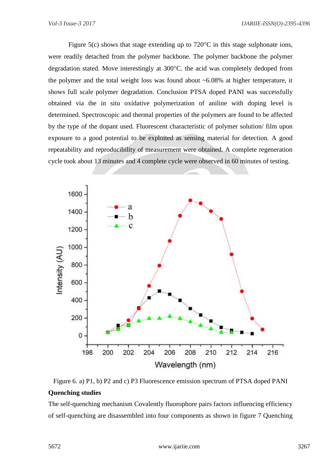Figure 5(c) shows that stage extending up to  $720^{\circ}$ C in this stage sulphonate ions, were readily detached from the polymer backbone. The polymer backbone the polymer degradation stated. Move interestingly at 300°C. the acid was completely dedoped from the polymer and the total weight loss was found about  $\sim 6.08\%$  at higher temperature, it shows full scale polymer degradation. Conclusion PTSA doped PANI was successfully obtained via the in situ oxidative polymerization of aniline with doping level is determined. Spectroscopic and thermal properties of the polymers are found to be affected by the type of the dopant used. Fluorescent characteristic of polymer solution/ film upon exposure to a good potential to be exploited as sensing material for detection. A good repeatability and reproducibility of measurement were obtained. A complete regeneration cycle took about 13 minutes and 4 complete cycle were observed in 60 minutes of testing.



Figure 6. a) P1, b) P2 and c) P3 Fluorescence emission spectrum of PTSA doped PANI **Quenching studies** 

The self-quenching mechanism Covalently fluorophore pairs factors influencing efficiency of self-quenching are disassembled into four components as shown in figure 7 Quenching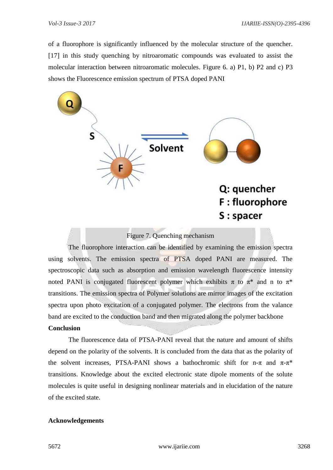of a fluorophore is significantly influenced by the molecular structure of the quencher. [17] in this study quenching by nitroaromatic compounds was evaluated to assist the molecular interaction between nitroaromatic molecules. Figure 6. a) P1, b) P2 and c) P3 shows the Fluorescence emission spectrum of PTSA doped PANI



Figure 7. Quenching mechanism

The fluorophore interaction can be identified by examining the emission spectra using solvents. The emission spectra of PTSA doped PANI are measured. The spectroscopic data such as absorption and emission wavelength fluorescence intensity noted PANI is conjugated fluorescent polymer which exhibits  $\pi$  to  $\pi^*$  and n to  $\pi^*$ transitions. The emission spectra of Polymer solutions are mirror images of the excitation spectra upon photo excitation of a conjugated polymer. The electrons from the valance band are excited to the conduction band and then migrated along the polymer backbone

## **Conclusion**

The fluorescence data of PTSA-PANI reveal that the nature and amount of shifts depend on the polarity of the solvents. It is concluded from the data that as the polarity of the solvent increases, PTSA-PANI shows a bathochromic shift for n- $\pi$  and  $\pi$ - $\pi^*$ transitions. Knowledge about the excited electronic state dipole moments of the solute molecules is quite useful in designing nonlinear materials and in elucidation of the nature of the excited state.

#### **Acknowledgements**